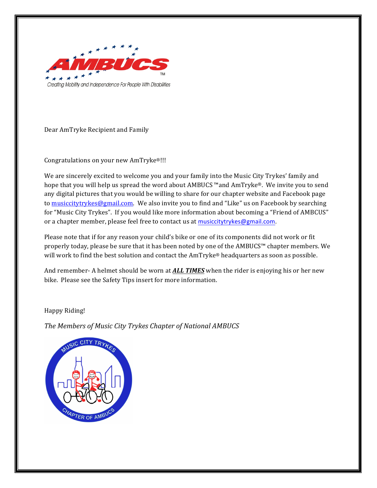

Dear AmTryke Recipient and Family

Congratulations on your new AmTryke®!!!

We are sincerely excited to welcome you and your family into the Music City Trykes' family and hope that you will help us spread the word about AMBUCS ™and AmTryke®. We invite you to send any digital pictures that you would be willing to share for our chapter website and Facebook page to musiccitytrykes@gmail.com. We also invite you to find and "Like" us on Facebook by searching for "Music City Trykes". If you would like more information about becoming a "Friend of AMBCUS" or a chapter member, please feel free to contact us at musiccitytrykes@gmail.com.

Please note that if for any reason your child's bike or one of its components did not work or fit properly today, please be sure that it has been noted by one of the AMBUCS™ chapter members. We will work to find the best solution and contact the AmTryke® headquarters as soon as possible.

And remember- A helmet should be worn at **ALL TIMES** when the rider is enjoying his or her new bike. Please see the Safety Tips insert for more information.

Happy Riding!

**The Members of Music City Trykes Chapter of National AMBUCS** 

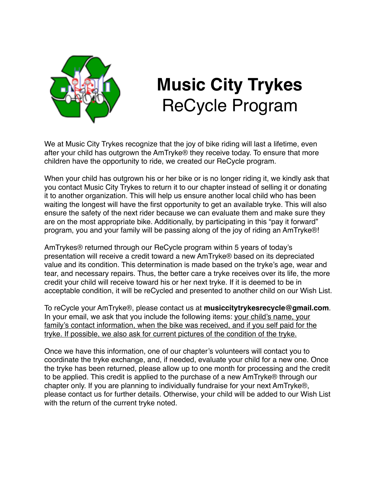

## **Music City Trykes** ReCycle Program

We at Music City Trykes recognize that the joy of bike riding will last a lifetime, even after your child has outgrown the AmTryke® they receive today. To ensure that more children have the opportunity to ride, we created our ReCycle program.

When your child has outgrown his or her bike or is no longer riding it, we kindly ask that you contact Music City Trykes to return it to our chapter instead of selling it or donating it to another organization. This will help us ensure another local child who has been waiting the longest will have the first opportunity to get an available tryke. This will also ensure the safety of the next rider because we can evaluate them and make sure they are on the most appropriate bike. Additionally, by participating in this "pay it forward" program, you and your family will be passing along of the joy of riding an AmTryke®!

AmTrykes® returned through our ReCycle program within 5 years of today's presentation will receive a credit toward a new AmTryke® based on its depreciated value and its condition. This determination is made based on the tryke's age, wear and tear, and necessary repairs. Thus, the better care a tryke receives over its life, the more credit your child will receive toward his or her next tryke. If it is deemed to be in acceptable condition, it will be reCycled and presented to another child on our Wish List.

To reCycle your AmTryke®, please contact us at **musiccitytrykesrecycle@gmail.com**. In your email, we ask that you include the following items: your child's name, your family's contact information, when the bike was received, and if you self paid for the tryke. If possible, we also ask for current pictures of the condition of the tryke.

Once we have this information, one of our chapter's volunteers will contact you to coordinate the tryke exchange, and, if needed, evaluate your child for a new one. Once the tryke has been returned, please allow up to one month for processing and the credit to be applied. This credit is applied to the purchase of a new AmTryke® through our chapter only. If you are planning to individually fundraise for your next AmTryke®, please contact us for further details. Otherwise, your child will be added to our Wish List with the return of the current tryke noted.